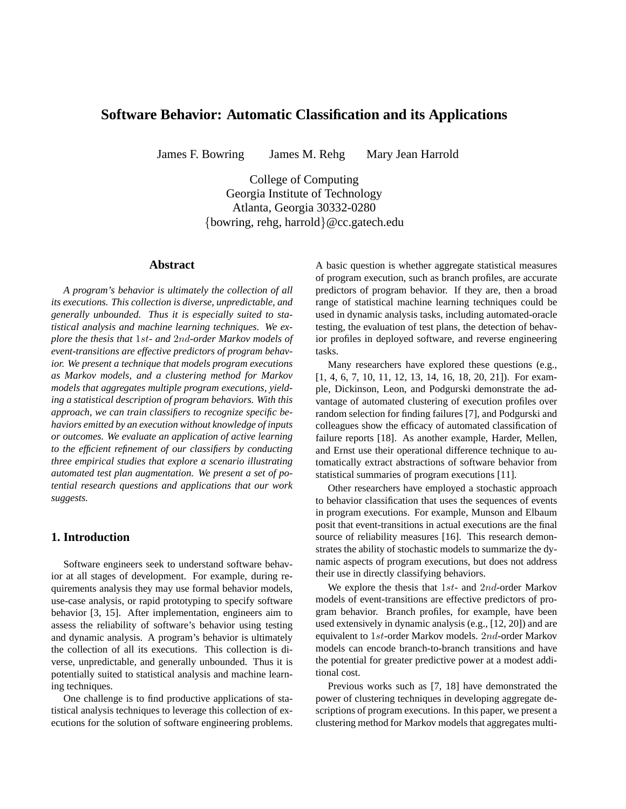# **Software Behavior: Automatic Classification and its Applications**

James F. Bowring James M. Rehg Mary Jean Harrold

College of Computing Georgia Institute of Technology Atlanta, Georgia 30332-0280 {bowring, rehg, harrold}@cc.gatech.edu

# **Abstract**

*A program's behavior is ultimately the collection of all its executions. This collection is diverse, unpredictable, and generally unbounded. Thus it is especially suited to statistical analysis and machine learning techniques. We explore the thesis that* 1st*- and* 2nd*-order Markov models of event-transitions are effective predictors of program behavior. We present a technique that models program executions as Markov models, and a clustering method for Markov models that aggregates multiple program executions, yielding a statistical description of program behaviors. With this approach, we can train classifiers to recognize specific behaviors emitted by an execution without knowledge of inputs or outcomes. We evaluate an application of active learning to the efficient refinement of our classifiers by conducting three empirical studies that explore a scenario illustrating automated test plan augmentation. We present a set of potential research questions and applications that our work suggests.*

## **1. Introduction**

Software engineers seek to understand software behavior at all stages of development. For example, during requirements analysis they may use formal behavior models, use-case analysis, or rapid prototyping to specify software behavior [3, 15]. After implementation, engineers aim to assess the reliability of software's behavior using testing and dynamic analysis. A program's behavior is ultimately the collection of all its executions. This collection is diverse, unpredictable, and generally unbounded. Thus it is potentially suited to statistical analysis and machine learning techniques.

One challenge is to find productive applications of statistical analysis techniques to leverage this collection of executions for the solution of software engineering problems. A basic question is whether aggregate statistical measures of program execution, such as branch profiles, are accurate predictors of program behavior. If they are, then a broad range of statistical machine learning techniques could be used in dynamic analysis tasks, including automated-oracle testing, the evaluation of test plans, the detection of behavior profiles in deployed software, and reverse engineering tasks.

Many researchers have explored these questions (e.g., [1, 4, 6, 7, 10, 11, 12, 13, 14, 16, 18, 20, 21]). For example, Dickinson, Leon, and Podgurski demonstrate the advantage of automated clustering of execution profiles over random selection for finding failures [7], and Podgurski and colleagues show the efficacy of automated classification of failure reports [18]. As another example, Harder, Mellen, and Ernst use their operational difference technique to automatically extract abstractions of software behavior from statistical summaries of program executions [11].

Other researchers have employed a stochastic approach to behavior classification that uses the sequences of events in program executions. For example, Munson and Elbaum posit that event-transitions in actual executions are the final source of reliability measures [16]. This research demonstrates the ability of stochastic models to summarize the dynamic aspects of program executions, but does not address their use in directly classifying behaviors.

We explore the thesis that  $1st$ - and  $2nd$ -order Markov models of event-transitions are effective predictors of program behavior. Branch profiles, for example, have been used extensively in dynamic analysis (e.g., [12, 20]) and are equivalent to 1st-order Markov models. 2nd-order Markov models can encode branch-to-branch transitions and have the potential for greater predictive power at a modest additional cost.

Previous works such as [7, 18] have demonstrated the power of clustering techniques in developing aggregate descriptions of program executions. In this paper, we present a clustering method for Markov models that aggregates multi-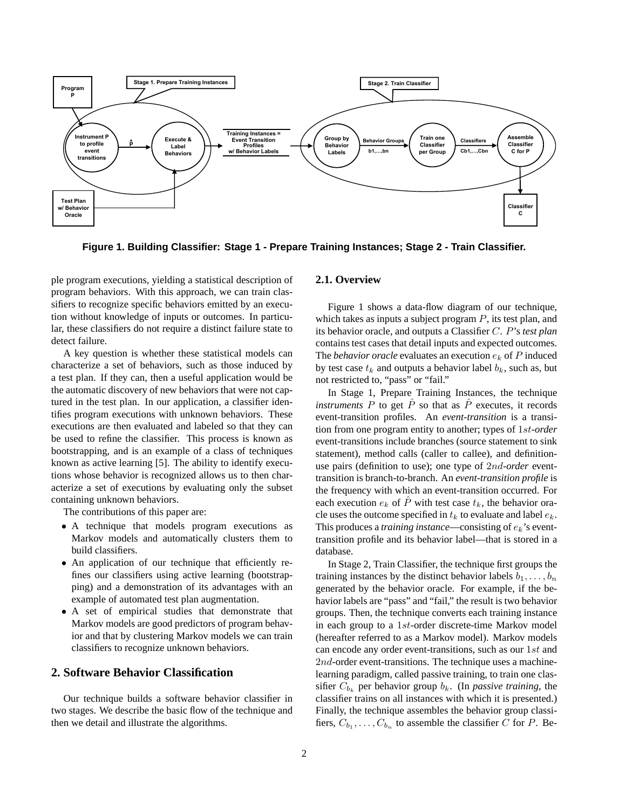

**Figure 1. Building Classifier: Stage 1 - Prepare Training Instances; Stage 2 - Train Classifier.**

ple program executions, yielding a statistical description of program behaviors. With this approach, we can train classifiers to recognize specific behaviors emitted by an execution without knowledge of inputs or outcomes. In particular, these classifiers do not require a distinct failure state to detect failure.

A key question is whether these statistical models can characterize a set of behaviors, such as those induced by a test plan. If they can, then a useful application would be the automatic discovery of new behaviors that were not captured in the test plan. In our application, a classifier identifies program executions with unknown behaviors. These executions are then evaluated and labeled so that they can be used to refine the classifier. This process is known as bootstrapping, and is an example of a class of techniques known as active learning [5]. The ability to identify executions whose behavior is recognized allows us to then characterize a set of executions by evaluating only the subset containing unknown behaviors.

The contributions of this paper are:

- A technique that models program executions as Markov models and automatically clusters them to build classifiers.
- An application of our technique that efficiently refines our classifiers using active learning (bootstrapping) and a demonstration of its advantages with an example of automated test plan augmentation.
- A set of empirical studies that demonstrate that Markov models are good predictors of program behavior and that by clustering Markov models we can train classifiers to recognize unknown behaviors.

## **2. Software Behavior Classification**

Our technique builds a software behavior classifier in two stages. We describe the basic flow of the technique and then we detail and illustrate the algorithms.

#### **2.1. Overview**

Figure 1 shows a data-flow diagram of our technique, which takes as inputs a subject program  $P$ , its test plan, and its behavior oracle, and outputs a Classifier C. P's *test plan* contains test cases that detail inputs and expected outcomes. The *behavior oracle* evaluates an execution  $e_k$  of P induced by test case  $t_k$  and outputs a behavior label  $b_k$ , such as, but not restricted to, "pass" or "fail."

In Stage 1, Prepare Training Instances, the technique *instruments* P to get  $\hat{P}$  so that as  $\hat{P}$  executes, it records event-transition profiles. An *event-transition* is a transition from one program entity to another; types of 1st*-order* event-transitions include branches (source statement to sink statement), method calls (caller to callee), and definitionuse pairs (definition to use); one type of 2nd*-order* eventtransition is branch-to-branch. An *event-transition profile* is the frequency with which an event-transition occurred. For each execution  $e_k$  of  $\hat{P}$  with test case  $t_k$ , the behavior oracle uses the outcome specified in  $t_k$  to evaluate and label  $e_k$ . This produces a *training instance*—consisting of  $e_k$ 's eventtransition profile and its behavior label—that is stored in a database.

In Stage 2, Train Classifier, the technique first groups the training instances by the distinct behavior labels  $b_1, \ldots, b_n$ generated by the behavior oracle. For example, if the behavior labels are "pass" and "fail," the result is two behavior groups. Then, the technique converts each training instance in each group to a 1st-order discrete-time Markov model (hereafter referred to as a Markov model). Markov models can encode any order event-transitions, such as our 1st and 2nd-order event-transitions. The technique uses a machinelearning paradigm, called passive training, to train one classifier  $C_{b_k}$  per behavior group  $b_k$ . (In *passive training*, the classifier trains on all instances with which it is presented.) Finally, the technique assembles the behavior group classifiers,  $C_{b_1}, \ldots, C_{b_n}$  to assemble the classifier C for P. Be-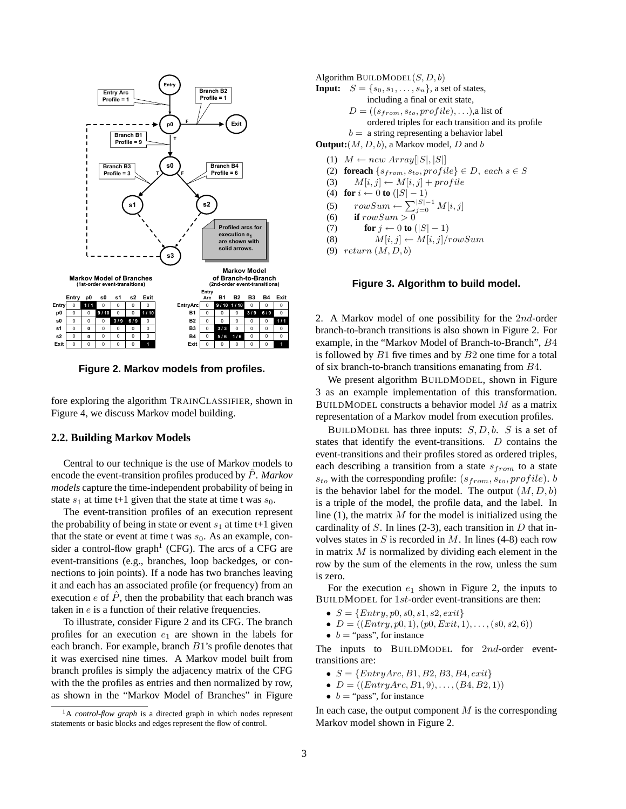

**Figure 2. Markov models from profiles.**

fore exploring the algorithm TRAINCLASSIFIER, shown in Figure 4, we discuss Markov model building.

## **2.2. Building Markov Models**

Central to our technique is the use of Markov models to encode the event-transition profiles produced by Pˆ. *Markov models* capture the time-independent probability of being in state  $s_1$  at time t+1 given that the state at time t was  $s_0$ .

The event-transition profiles of an execution represent the probability of being in state or event  $s_1$  at time t+1 given that the state or event at time t was  $s_0$ . As an example, consider a control-flow graph<sup>1</sup> (CFG). The arcs of a CFG are event-transitions (e.g., branches, loop backedges, or connections to join points). If a node has two branches leaving it and each has an associated profile (or frequency) from an execution e of  $\hat{P}$ , then the probability that each branch was taken in e is a function of their relative frequencies.

To illustrate, consider Figure 2 and its CFG. The branch profiles for an execution  $e_1$  are shown in the labels for each branch. For example, branch B1's profile denotes that it was exercised nine times. A Markov model built from branch profiles is simply the adjacency matrix of the CFG with the the profiles as entries and then normalized by row, as shown in the "Markov Model of Branches" in Figure

Algorithm BUILDMODEL $(S, D, b)$ 

**Input:**  $S = \{s_0, s_1, \ldots, s_n\}$ , a set of states, including a final or exit state,  $D = ((s_{from}, s_{to}, profile), \ldots)$ ,a list of ordered triples for each transition and its profile  $b = a$  string representing a behavior label

**Output:**  $(M, D, b)$ , a Markov model, D and b

- (1)  $M \leftarrow new Array[|S|, |S|]$
- (2) **foreach**  $\{s_{from}, s_{to}, profile\} \in D$ , each  $s \in S$
- (3)  $M[i, j] \leftarrow M[i, j] + profile$
- (4) **for**  $i \leftarrow 0$  **to**  $(|S|-1)$
- (5)  $rowSum \leftarrow \sum_{j=0}^{|S|-1} M[i, j]$
- (6) **if**  $rowSum > 0$
- (7) **for**  $j \leftarrow 0$  **to**  $(|S| 1)$
- (8)  $M[i, j] \leftarrow M[i, j] / rowSum$
- (9)  $return (M, D, b)$

#### **Figure 3. Algorithm to build model.**

2. A Markov model of one possibility for the 2nd-order branch-to-branch transitions is also shown in Figure 2. For example, in the "Markov Model of Branch-to-Branch", B4 is followed by  $B1$  five times and by  $B2$  one time for a total of six branch-to-branch transitions emanating from B4.

We present algorithm BUILDMODEL, shown in Figure 3 as an example implementation of this transformation. BUILDMODEL constructs a behavior model  $M$  as a matrix representation of a Markov model from execution profiles.

BUILDMODEL has three inputs:  $S, D, b$ . S is a set of states that identify the event-transitions. D contains the event-transitions and their profiles stored as ordered triples, each describing a transition from a state  $s_{from}$  to a state  $s_{to}$  with the corresponding profile:  $(s_{from}, s_{to}, profile)$ . b is the behavior label for the model. The output  $(M, D, b)$ is a triple of the model, the profile data, and the label. In line  $(1)$ , the matrix M for the model is initialized using the cardinality of  $S$ . In lines (2-3), each transition in  $D$  that involves states in  $S$  is recorded in  $M$ . In lines (4-8) each row in matrix  $M$  is normalized by dividing each element in the row by the sum of the elements in the row, unless the sum is zero.

For the execution  $e_1$  shown in Figure 2, the inputs to BUILDMODEL for 1st-order event-transitions are then:

- $S = \{Entry, p0, s0, s1, s2, exit\}$
- $D = ((Entry, p0, 1), (p0, Ext, 1), \ldots, (s0, s2, 6))$
- $b =$  "pass", for instance

The inputs to BUILDMODEL for 2nd-order eventtransitions are:

- $S = \{EntryArc, B1, B2, B3, B4, exit\}$
- $D = ((EntryArc, B1, 9), \ldots, (B4, B2, 1))$
- $b =$  "pass", for instance

In each case, the output component  $M$  is the corresponding Markov model shown in Figure 2.

<sup>&</sup>lt;sup>1</sup>A *control-flow graph* is a directed graph in which nodes represent statements or basic blocks and edges represent the flow of control.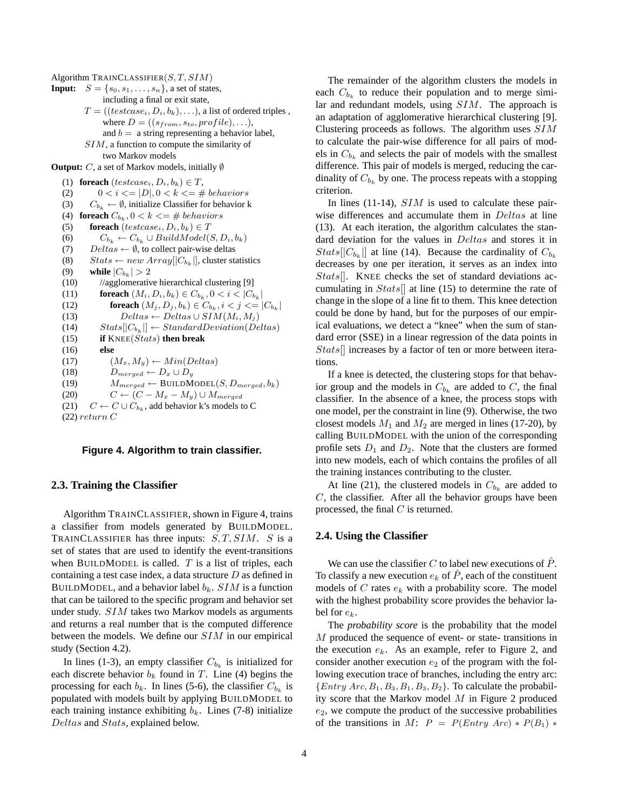Algorithm TRAINCLASSIFIER $(S, T, SIM)$ 

**Input:**  $S = \{s_0, s_1, \ldots, s_n\}$ , a set of states, including a final or exit state,  $T = ((testcase_i, D_i, b_k), \ldots)$ , a list of ordered triples, where  $D = ((s_{from}, s_{to}, profile), \ldots),$ and  $b = a$  string representing a behavior label, SIM, a function to compute the similarity of two Markov models **Output:** C, a set of Markov models, initially ∅ (1) **foreach**  $(testcase_i, D_i, b_k) \in T$ , (2)  $0 < i < |D|, 0 < k < = \#~behavors$ (3)  $C_{b_k} \leftarrow \emptyset$ , initialize Classifier for behavior k (4) **foreach**  $C_{b_k}$ ,  $0 < k \leq \text{# behaviors}$ (5) **foreach**  $(testcase_i, D_i, b_k) \in T$ (6)  $C_{b_k} \leftarrow C_{b_k} \cup BuildModel(S, D_i, b_k)$ (7) Deltas  $\leftarrow \emptyset$ , to collect pair-wise deltas (8)  $Stats \leftarrow new Array[|C_{b_k}|]$ , cluster statistics (9) **while**  $|C_{b_k}| > 2$  $(10)$  //agglomerative hierarchical clustering [9] (11) **foreach**  $(M_i, D_i, b_k) \in C_{b_k}, 0 < i < |C_{b_k}|$ (12) **foreach**  $(M_j, D_j, b_k) \in C_{b_k}, i < j < = |C_{b_k}|$ (13)  $Deltas \leftarrow Deltas \cup SIM(M_i, M_j)$ (14)  $Stats[[C_{b_k}]] \leftarrow StandardDeviation(Deltas)$ (15) **if** KNEE(Stats) **then break** (16) **else** (17)  $(M_x, M_y) \leftarrow Min(Deltas)$ (18)  $D_{merged} \leftarrow D_x \cup D_y$ (19)  $M_{merged} \leftarrow \text{BULDMODE}(S, D_{merged}, b_k)$ (20)  $C \leftarrow (C - M_x - M_y) \cup M_{merged}$ (21)  $C \leftarrow C \cup C_{b_k}$ , add behavior k's models to C  $(22)$  return C

#### **Figure 4. Algorithm to train classifier.**

#### **2.3. Training the Classifier**

Algorithm TRAINCLASSIFIER, shown in Figure 4, trains a classifier from models generated by BUILDMODEL. TRAINCLASSIFIER has three inputs:  $S, T, SIM.$  S is a set of states that are used to identify the event-transitions when BUILDMODEL is called.  $T$  is a list of triples, each containing a test case index, a data structure  $D$  as defined in BUILDMODEL, and a behavior label  $b_k$ . SIM is a function that can be tailored to the specific program and behavior set under study. SIM takes two Markov models as arguments and returns a real number that is the computed difference between the models. We define our SIM in our empirical study (Section 4.2).

In lines (1-3), an empty classifier  $C_{b_k}$  is initialized for each discrete behavior  $b_k$  found in T. Line (4) begins the processing for each  $b_k$ . In lines (5-6), the classifier  $C_{b_k}$  is populated with models built by applying BUILDMODEL to each training instance exhibiting  $b_k$ . Lines (7-8) initialize Deltas and Stats, explained below.

The remainder of the algorithm clusters the models in each  $C_{b_k}$  to reduce their population and to merge similar and redundant models, using SIM. The approach is an adaptation of agglomerative hierarchical clustering [9]. Clustering proceeds as follows. The algorithm uses SIM to calculate the pair-wise difference for all pairs of models in  $C_{b_k}$  and selects the pair of models with the smallest difference. This pair of models is merged, reducing the cardinality of  $C_{b_k}$  by one. The process repeats with a stopping criterion.

In lines (11-14),  $SIM$  is used to calculate these pairwise differences and accumulate them in Deltas at line (13). At each iteration, the algorithm calculates the standard deviation for the values in Deltas and stores it in  $Stats[|C_{b_k}|]$  at line (14). Because the cardinality of  $C_{b_k}$ decreases by one per iteration, it serves as an index into Stats[]. KNEE checks the set of standard deviations accumulating in  $Stats$  at line (15) to determine the rate of change in the slope of a line fit to them. This knee detection could be done by hand, but for the purposes of our empirical evaluations, we detect a "knee" when the sum of standard error (SSE) in a linear regression of the data points in Stats[] increases by a factor of ten or more between iterations.

If a knee is detected, the clustering stops for that behavior group and the models in  $C_{b_k}$  are added to C, the final classifier. In the absence of a knee, the process stops with one model, per the constraint in line (9). Otherwise, the two closest models  $M_1$  and  $M_2$  are merged in lines (17-20), by calling BUILDMODEL with the union of the corresponding profile sets  $D_1$  and  $D_2$ . Note that the clusters are formed into new models, each of which contains the profiles of all the training instances contributing to the cluster.

At line (21), the clustered models in  $C_{b_k}$  are added to  $C$ , the classifier. After all the behavior groups have been processed, the final  $C$  is returned.

## **2.4. Using the Classifier**

We can use the classifier C to label new executions of  $\ddot{P}$ . To classify a new execution  $e_k$  of  $\hat{P}$ , each of the constituent models of  $C$  rates  $e_k$  with a probability score. The model with the highest probability score provides the behavior label for  $e_k$ .

The *probability score* is the probability that the model M produced the sequence of event- or state- transitions in the execution  $e_k$ . As an example, refer to Figure 2, and consider another execution  $e_2$  of the program with the following execution trace of branches, including the entry arc:  ${Entry Arc, B<sub>1</sub>, B<sub>3</sub>, B<sub>1</sub>, B<sub>3</sub>, B<sub>2</sub>}$ . To calculate the probability score that the Markov model  $M$  in Figure 2 produced  $e_2$ , we compute the product of the successive probabilities of the transitions in M:  $P = P(Entry \; Arc) * P(B_1) * P(B_2)$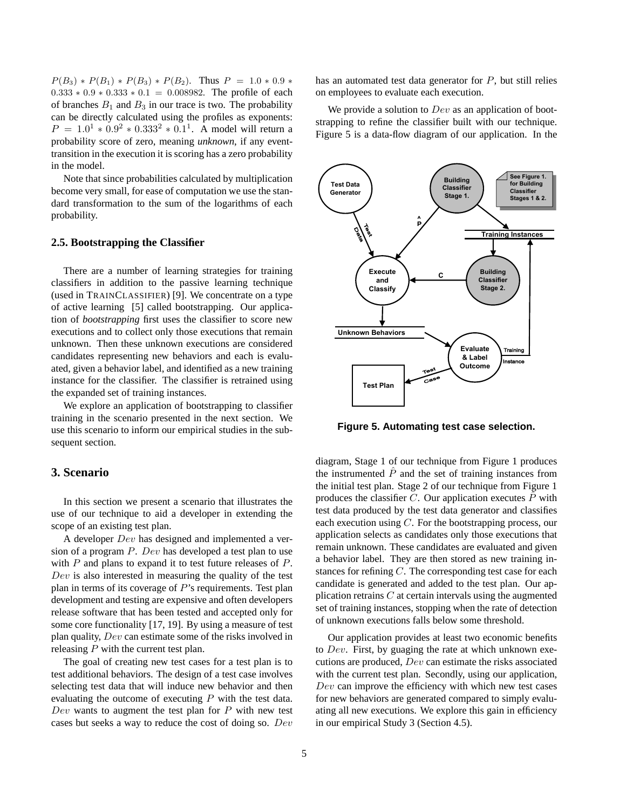$P(B_3) * P(B_1) * P(B_3) * P(B_2)$ . Thus  $P = 1.0 * 0.9 *$  $0.333 * 0.9 * 0.333 * 0.1 = 0.008982$ . The profile of each of branches  $B_1$  and  $B_3$  in our trace is two. The probability can be directly calculated using the profiles as exponents:  $P = 1.0^{1} * 0.9^{2} * 0.333^{2} * 0.1^{1}$ . A model will return a probability score of zero, meaning *unknown*, if any eventtransition in the execution it is scoring has a zero probability in the model.

Note that since probabilities calculated by multiplication become very small, for ease of computation we use the standard transformation to the sum of the logarithms of each probability.

#### **2.5. Bootstrapping the Classifier**

There are a number of learning strategies for training classifiers in addition to the passive learning technique (used in TRAINCLASSIFIER) [9]. We concentrate on a type of active learning [5] called bootstrapping. Our application of *bootstrapping* first uses the classifier to score new executions and to collect only those executions that remain unknown. Then these unknown executions are considered candidates representing new behaviors and each is evaluated, given a behavior label, and identified as a new training instance for the classifier. The classifier is retrained using the expanded set of training instances.

We explore an application of bootstrapping to classifier training in the scenario presented in the next section. We use this scenario to inform our empirical studies in the subsequent section.

# **3. Scenario**

In this section we present a scenario that illustrates the use of our technique to aid a developer in extending the scope of an existing test plan.

A developer Dev has designed and implemented a version of a program P. Dev has developed a test plan to use with  $P$  and plans to expand it to test future releases of  $P$ . Dev is also interested in measuring the quality of the test plan in terms of its coverage of  $P$ 's requirements. Test plan development and testing are expensive and often developers release software that has been tested and accepted only for some core functionality [17, 19]. By using a measure of test plan quality, Dev can estimate some of the risks involved in releasing  $P$  with the current test plan.

The goal of creating new test cases for a test plan is to test additional behaviors. The design of a test case involves selecting test data that will induce new behavior and then evaluating the outcome of executing  $P$  with the test data. Dev wants to augment the test plan for  $P$  with new test cases but seeks a way to reduce the cost of doing so. Dev

has an automated test data generator for  $P$ , but still relies on employees to evaluate each execution.

We provide a solution to  $Dev$  as an application of bootstrapping to refine the classifier built with our technique. Figure 5 is a data-flow diagram of our application. In the



**Figure 5. Automating test case selection.**

diagram, Stage 1 of our technique from Figure 1 produces the instrumented  $\ddot{P}$  and the set of training instances from the initial test plan. Stage 2 of our technique from Figure 1 produces the classifier  $C$ . Our application executes  $P$  with test data produced by the test data generator and classifies each execution using  $C$ . For the bootstrapping process, our application selects as candidates only those executions that remain unknown. These candidates are evaluated and given a behavior label. They are then stored as new training instances for refining  $C$ . The corresponding test case for each candidate is generated and added to the test plan. Our application retrains  $C$  at certain intervals using the augmented set of training instances, stopping when the rate of detection of unknown executions falls below some threshold.

Our application provides at least two economic benefits to  $Dev.$  First, by guaging the rate at which unknown executions are produced, Dev can estimate the risks associated with the current test plan. Secondly, using our application, Dev can improve the efficiency with which new test cases for new behaviors are generated compared to simply evaluating all new executions. We explore this gain in efficiency in our empirical Study 3 (Section 4.5).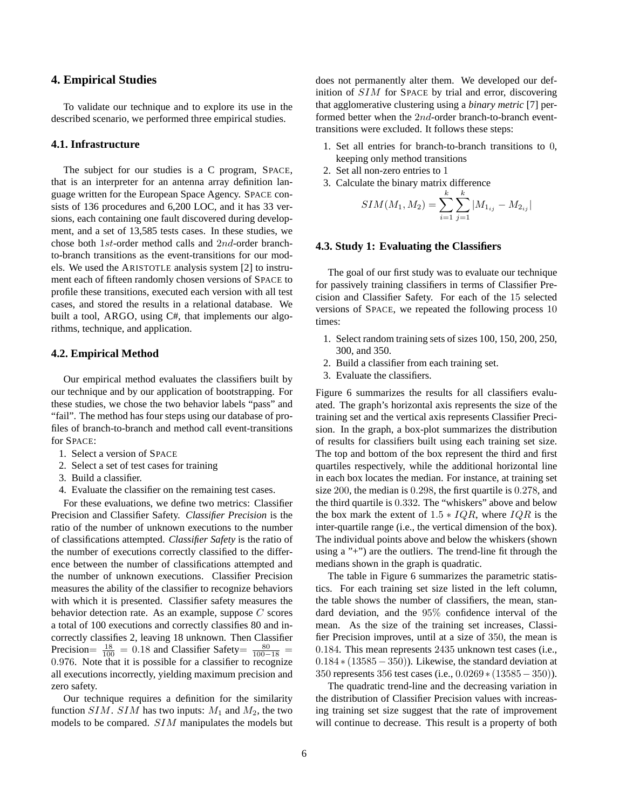## **4. Empirical Studies**

To validate our technique and to explore its use in the described scenario, we performed three empirical studies.

#### **4.1. Infrastructure**

The subject for our studies is a C program, SPACE, that is an interpreter for an antenna array definition language written for the European Space Agency. SPACE consists of 136 procedures and 6,200 LOC, and it has 33 versions, each containing one fault discovered during development, and a set of 13,585 tests cases. In these studies, we chose both 1st-order method calls and 2nd-order branchto-branch transitions as the event-transitions for our models. We used the ARISTOTLE analysis system [2] to instrument each of fifteen randomly chosen versions of SPACE to profile these transitions, executed each version with all test cases, and stored the results in a relational database. We built a tool, ARGO, using C#, that implements our algorithms, technique, and application.

#### **4.2. Empirical Method**

Our empirical method evaluates the classifiers built by our technique and by our application of bootstrapping. For these studies, we chose the two behavior labels "pass" and "fail". The method has four steps using our database of profiles of branch-to-branch and method call event-transitions for SPACE:

- 1. Select a version of SPACE
- 2. Select a set of test cases for training
- 3. Build a classifier.
- 4. Evaluate the classifier on the remaining test cases.

For these evaluations, we define two metrics: Classifier Precision and Classifier Safety. *Classifier Precision* is the ratio of the number of unknown executions to the number of classifications attempted. *Classifier Safety* is the ratio of the number of executions correctly classified to the difference between the number of classifications attempted and the number of unknown executions. Classifier Precision measures the ability of the classifier to recognize behaviors with which it is presented. Classifier safety measures the behavior detection rate. As an example, suppose C scores a total of 100 executions and correctly classifies 80 and incorrectly classifies 2, leaving 18 unknown. Then Classifier Precision=  $\frac{18}{100}$  = 0.18 and Classifier Safety=  $\frac{80}{100-18}$  = 0.976. Note that it is possible for a classifier to recognize all executions incorrectly, yielding maximum precision and zero safety.

Our technique requires a definition for the similarity function SIM. SIM has two inputs:  $M_1$  and  $M_2$ , the two models to be compared. SIM manipulates the models but does not permanently alter them. We developed our definition of SIM for SPACE by trial and error, discovering that agglomerative clustering using a *binary metric* [7] performed better when the 2nd-order branch-to-branch eventtransitions were excluded. It follows these steps:

- 1. Set all entries for branch-to-branch transitions to 0, keeping only method transitions
- 2. Set all non-zero entries to 1
- 3. Calculate the binary matrix difference  $l_{\rm}$

$$
SIM(M_1, M_2) = \sum_{i=1}^{k} \sum_{j=1}^{k} |M_{1_{ij}} - M_{2_{ij}}|
$$

## **4.3. Study 1: Evaluating the Classifiers**

The goal of our first study was to evaluate our technique for passively training classifiers in terms of Classifier Precision and Classifier Safety. For each of the 15 selected versions of SPACE, we repeated the following process 10 times:

- 1. Select random training sets of sizes 100, 150, 200, 250, 300, and 350.
- 2. Build a classifier from each training set.
- 3. Evaluate the classifiers.

Figure 6 summarizes the results for all classifiers evaluated. The graph's horizontal axis represents the size of the training set and the vertical axis represents Classifier Precision. In the graph, a box-plot summarizes the distribution of results for classifiers built using each training set size. The top and bottom of the box represent the third and first quartiles respectively, while the additional horizontal line in each box locates the median. For instance, at training set size 200, the median is 0.298, the first quartile is 0.278, and the third quartile is 0.332. The "whiskers" above and below the box mark the extent of  $1.5 * IQR$ , where  $IQR$  is the inter-quartile range (i.e., the vertical dimension of the box). The individual points above and below the whiskers (shown using a "+") are the outliers. The trend-line fit through the medians shown in the graph is quadratic.

The table in Figure 6 summarizes the parametric statistics. For each training set size listed in the left column, the table shows the number of classifiers, the mean, standard deviation, and the 95% confidence interval of the mean. As the size of the training set increases, Classifier Precision improves, until at a size of 350, the mean is 0.184. This mean represents 2435 unknown test cases (i.e.,  $0.184 * (13585 - 350)$ . Likewise, the standard deviation at 350 represents 356 test cases (i.e., 0.0269 ∗ (13585−350)).

The quadratic trend-line and the decreasing variation in the distribution of Classifier Precision values with increasing training set size suggest that the rate of improvement will continue to decrease. This result is a property of both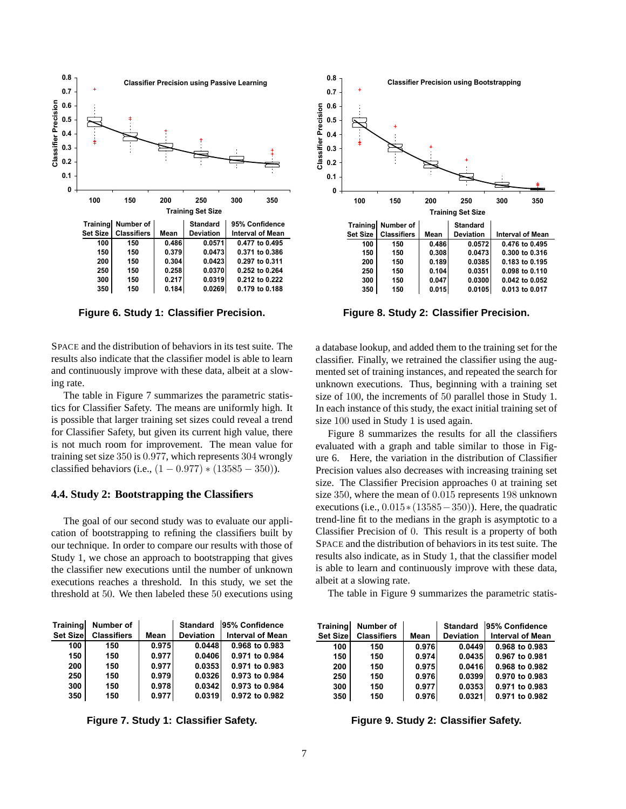

**Figure 6. Study 1: Classifier Precision.**

SPACE and the distribution of behaviors in its test suite. The results also indicate that the classifier model is able to learn and continuously improve with these data, albeit at a slowing rate.

training set size  $350$  is  $0.977$ , which represents  $304$  wrongly The table in Figure 7 summarizes the parametric statistics for Classifier Safety. The means are uniformly high. It is possible that larger training set sizes could reveal a trend for Classifier Safety, but given its current high value, there is not much room for improvement. The mean value for classified behaviors (i.e.,  $(1 - 0.977) * (13585 - 350)$ ).

## **4.4. Study 2: Bootstrapping the Classifiers**

The goal of our second study was to evaluate our application of bootstrapping to refining the classifiers built by our technique. In order to compare our results with those of Study 1, we chose an approach to bootstrapping that gives the classifier new executions until the number of unknown is executions reaches a threshold. In this study, we set the threshold at 50. We then labeled these 50 executions using

| Training         | Number of          |       | <b>Standard</b>  | 95% Confidence          |
|------------------|--------------------|-------|------------------|-------------------------|
| <b>Set Sizel</b> | <b>Classifiers</b> | Mean  | <b>Deviation</b> | <b>Interval of Mean</b> |
| 100              | 150                | 0.975 | 0.0448           | 0.968 to 0.983          |
| 150              | 150                | 0.977 | 0.0406           | 0.971 to 0.984          |
| 200              | 150                | 0.977 | 0.0353           | 0.971 to 0.983          |
| 250              | 150                | 0.979 | 0.0326           | 0.973 to 0.984          |
| 300              | 150                | 0.978 | 0.0342           | 0.973 to 0.984          |
| 350              | 150                | 0.977 | 0.0319           | 0.972 to 0.982          |

**Figure 7. Study 1: Classifier Safety.**



**Figure 8. Study 2: Classifier Precision.**

a database lookup, and added them to the training set for the classifier. Finally, we retrained the classifier using the augmented set of training instances, and repeated the search for unknown executions. Thus, beginning with a training set size of 100, the increments of 50 parallel those in Study 1. In each instance of this study, the exact initial training set of size 100 used in Study 1 is used again.

evaluated with a graph and table similar to those in Fig-Figure 8 summarizes the results for all the classifiers ure 6. Here, the variation in the distribution of Classifier Precision values also decreases with increasing training set size. The Classifier Precision approaches 0 at training set size 350, where the mean of 0.015 represents 198 unknown executions (i.e.,  $0.015*(13585-350)$ ). Here, the quadratic trend-line fit to the medians in the graph is asymptotic to a Classifier Precision of 0. This result is a property of both SPACE and the distribution of behaviors in its test suite. The results also indicate, as in Study 1, that the classifier model is able to learn and continuously improve with these data, albeit at a slowing rate.

the table in Figure 9 summarizes the parametric statis-

| Training | Number of          |       | <b>Standard</b>  | 95% Confidence          |
|----------|--------------------|-------|------------------|-------------------------|
| Set Size | <b>Classifiers</b> | Mean  | <b>Deviation</b> | <b>Interval of Mean</b> |
| 100      | 150                | 0.976 | 0.0449           | 0.968 to 0.983          |
| 150      | 150                | 0.974 | 0.0435           | 0.967 to 0.981          |
| 200      | 150                | 0.975 | 0.0416           | 0.968 to 0.982          |
| 250      | 150                | 0.976 | 0.0399           | 0.970 to 0.983          |
| 300      | 150                | 0.977 | 0.0353           | 0.971 to 0.983          |
| 350      | 150                | 0.976 | 0.0321           | 0.971 to 0.982          |

**Figure 9. Study 2: Classifier Safety.**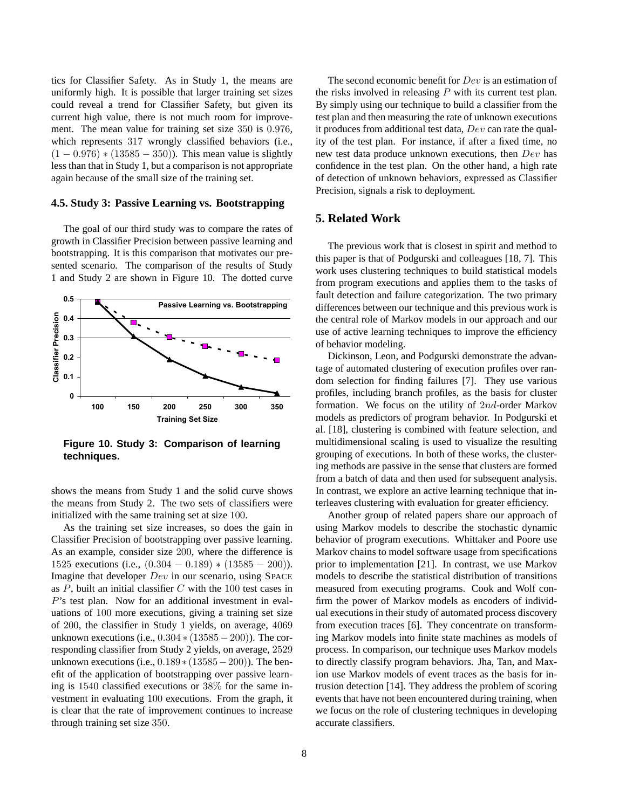tics for Classifier Safety. As in Study 1, the means are uniformly high. It is possible that larger training set sizes could reveal a trend for Classifier Safety, but given its current high value, there is not much room for improvement. The mean value for training set size 350 is 0.976, which represents 317 wrongly classified behaviors (i.e.,  $(1 - 0.976) * (13585 - 350)$ . This mean value is slightly less than that in Study 1, but a comparison is not appropriate again because of the small size of the training set.

#### **4.5. Study 3: Passive Learning vs. Bootstrapping**

The goal of our third study was to compare the rates of growth in Classifier Precision between passive learning and bootstrapping. It is this comparison that motivates our presented scenario. The comparison of the results of Study 1 and Study 2 are shown in Figure 10. The dotted curve



**Figure 10. Study 3: Comparison of learning techniques.**

shows the means from Study 1 and the solid curve shows the means from Study 2. The two sets of classifiers were initialized with the same training set at size 100.

As the training set size increases, so does the gain in Classifier Precision of bootstrapping over passive learning. As an example, consider size 200, where the difference is 1525 executions (i.e.,  $(0.304 - 0.189) * (13585 - 200)$ ). Imagine that developer Dev in our scenario, using SPACE as  $P$ , built an initial classifier  $C$  with the 100 test cases in P's test plan. Now for an additional investment in evaluations of 100 more executions, giving a training set size of 200, the classifier in Study 1 yields, on average, 4069 unknown executions (i.e.,  $0.304 * (13585 - 200)$ ). The corresponding classifier from Study 2 yields, on average, 2529 unknown executions (i.e.,  $0.189 * (13585 - 200)$ ). The benefit of the application of bootstrapping over passive learning is 1540 classified executions or 38% for the same investment in evaluating 100 executions. From the graph, it is clear that the rate of improvement continues to increase through training set size 350.

The second economic benefit for *Dev* is an estimation of the risks involved in releasing  $P$  with its current test plan. By simply using our technique to build a classifier from the test plan and then measuring the rate of unknown executions it produces from additional test data,  $Dev$  can rate the quality of the test plan. For instance, if after a fixed time, no new test data produce unknown executions, then Dev has confidence in the test plan. On the other hand, a high rate of detection of unknown behaviors, expressed as Classifier Precision, signals a risk to deployment.

# **5. Related Work**

The previous work that is closest in spirit and method to this paper is that of Podgurski and colleagues [18, 7]. This work uses clustering techniques to build statistical models from program executions and applies them to the tasks of fault detection and failure categorization. The two primary differences between our technique and this previous work is the central role of Markov models in our approach and our use of active learning techniques to improve the efficiency of behavior modeling.

Dickinson, Leon, and Podgurski demonstrate the advantage of automated clustering of execution profiles over random selection for finding failures [7]. They use various profiles, including branch profiles, as the basis for cluster formation. We focus on the utility of 2nd-order Markov models as predictors of program behavior. In Podgurski et al. [18], clustering is combined with feature selection, and multidimensional scaling is used to visualize the resulting grouping of executions. In both of these works, the clustering methods are passive in the sense that clusters are formed from a batch of data and then used for subsequent analysis. In contrast, we explore an active learning technique that interleaves clustering with evaluation for greater efficiency.

Another group of related papers share our approach of using Markov models to describe the stochastic dynamic behavior of program executions. Whittaker and Poore use Markov chains to model software usage from specifications prior to implementation [21]. In contrast, we use Markov models to describe the statistical distribution of transitions measured from executing programs. Cook and Wolf confirm the power of Markov models as encoders of individual executions in their study of automated process discovery from execution traces [6]. They concentrate on transforming Markov models into finite state machines as models of process. In comparison, our technique uses Markov models to directly classify program behaviors. Jha, Tan, and Maxion use Markov models of event traces as the basis for intrusion detection [14]. They address the problem of scoring events that have not been encountered during training, when we focus on the role of clustering techniques in developing accurate classifiers.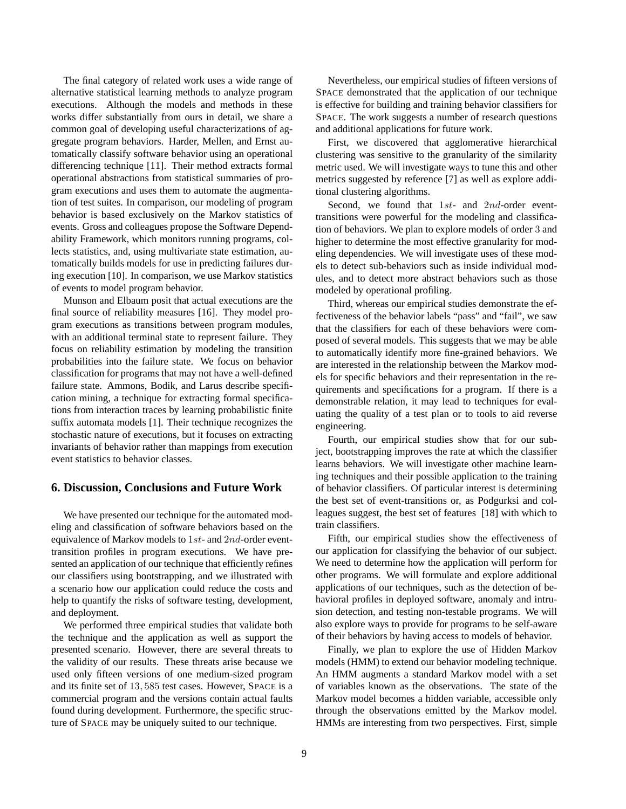The final category of related work uses a wide range of alternative statistical learning methods to analyze program executions. Although the models and methods in these works differ substantially from ours in detail, we share a common goal of developing useful characterizations of aggregate program behaviors. Harder, Mellen, and Ernst automatically classify software behavior using an operational differencing technique [11]. Their method extracts formal operational abstractions from statistical summaries of program executions and uses them to automate the augmentation of test suites. In comparison, our modeling of program behavior is based exclusively on the Markov statistics of events. Gross and colleagues propose the Software Dependability Framework, which monitors running programs, collects statistics, and, using multivariate state estimation, automatically builds models for use in predicting failures during execution [10]. In comparison, we use Markov statistics of events to model program behavior.

Munson and Elbaum posit that actual executions are the final source of reliability measures [16]. They model program executions as transitions between program modules, with an additional terminal state to represent failure. They focus on reliability estimation by modeling the transition probabilities into the failure state. We focus on behavior classification for programs that may not have a well-defined failure state. Ammons, Bodik, and Larus describe specification mining, a technique for extracting formal specifications from interaction traces by learning probabilistic finite suffix automata models [1]. Their technique recognizes the stochastic nature of executions, but it focuses on extracting invariants of behavior rather than mappings from execution event statistics to behavior classes.

## **6. Discussion, Conclusions and Future Work**

We have presented our technique for the automated modeling and classification of software behaviors based on the equivalence of Markov models to 1st- and 2nd-order eventtransition profiles in program executions. We have presented an application of our technique that efficiently refines our classifiers using bootstrapping, and we illustrated with a scenario how our application could reduce the costs and help to quantify the risks of software testing, development, and deployment.

We performed three empirical studies that validate both the technique and the application as well as support the presented scenario. However, there are several threats to the validity of our results. These threats arise because we used only fifteen versions of one medium-sized program and its finite set of 13, 585 test cases. However, SPACE is a commercial program and the versions contain actual faults found during development. Furthermore, the specific structure of SPACE may be uniquely suited to our technique.

Nevertheless, our empirical studies of fifteen versions of SPACE demonstrated that the application of our technique is effective for building and training behavior classifiers for SPACE. The work suggests a number of research questions and additional applications for future work.

First, we discovered that agglomerative hierarchical clustering was sensitive to the granularity of the similarity metric used. We will investigate ways to tune this and other metrics suggested by reference [7] as well as explore additional clustering algorithms.

Second, we found that 1st- and 2nd-order eventtransitions were powerful for the modeling and classification of behaviors. We plan to explore models of order 3 and higher to determine the most effective granularity for modeling dependencies. We will investigate uses of these models to detect sub-behaviors such as inside individual modules, and to detect more abstract behaviors such as those modeled by operational profiling.

Third, whereas our empirical studies demonstrate the effectiveness of the behavior labels "pass" and "fail", we saw that the classifiers for each of these behaviors were composed of several models. This suggests that we may be able to automatically identify more fine-grained behaviors. We are interested in the relationship between the Markov models for specific behaviors and their representation in the requirements and specifications for a program. If there is a demonstrable relation, it may lead to techniques for evaluating the quality of a test plan or to tools to aid reverse engineering.

Fourth, our empirical studies show that for our subject, bootstrapping improves the rate at which the classifier learns behaviors. We will investigate other machine learning techniques and their possible application to the training of behavior classifiers. Of particular interest is determining the best set of event-transitions or, as Podgurksi and colleagues suggest, the best set of features [18] with which to train classifiers.

Fifth, our empirical studies show the effectiveness of our application for classifying the behavior of our subject. We need to determine how the application will perform for other programs. We will formulate and explore additional applications of our techniques, such as the detection of behavioral profiles in deployed software, anomaly and intrusion detection, and testing non-testable programs. We will also explore ways to provide for programs to be self-aware of their behaviors by having access to models of behavior.

Finally, we plan to explore the use of Hidden Markov models (HMM) to extend our behavior modeling technique. An HMM augments a standard Markov model with a set of variables known as the observations. The state of the Markov model becomes a hidden variable, accessible only through the observations emitted by the Markov model. HMMs are interesting from two perspectives. First, simple